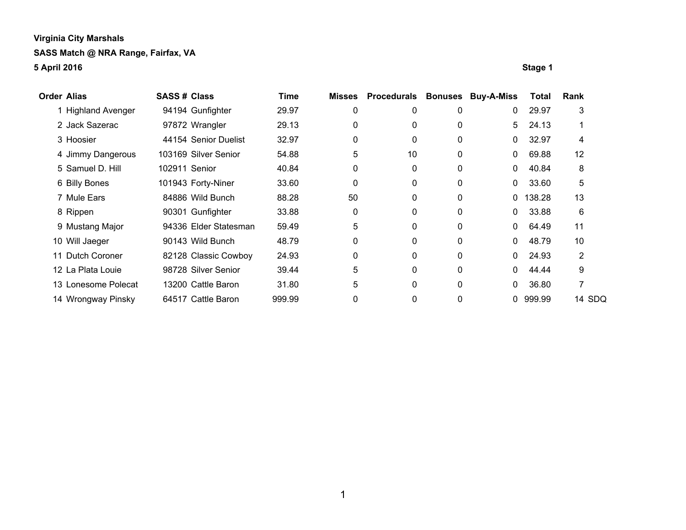| <b>Order Alias</b> |                     | <b>SASS # Class</b> |                       | <b>Time</b> | <b>Misses</b> | <b>Procedurals</b> |          | <b>Bonuses Buy-A-Miss</b> | <b>Total</b> | Rank   |
|--------------------|---------------------|---------------------|-----------------------|-------------|---------------|--------------------|----------|---------------------------|--------------|--------|
|                    | 1 Highland Avenger  |                     | 94194 Gunfighter      | 29.97       | 0             | 0                  | 0        | $\mathbf{0}$              | 29.97        | 3      |
|                    | 2 Jack Sazerac      |                     | 97872 Wrangler        | 29.13       | 0             | 0                  | 0        | 5                         | 24.13        |        |
|                    | 3 Hoosier           |                     | 44154 Senior Duelist  | 32.97       | 0             | 0                  | 0        | $\mathbf{0}$              | 32.97        | 4      |
|                    | 4 Jimmy Dangerous   |                     | 103169 Silver Senior  | 54.88       | 5             | 10                 | 0        | $\mathbf{0}$              | 69.88        | 12     |
|                    | 5 Samuel D. Hill    | 102911 Senior       |                       | 40.84       | 0             | 0                  | 0        | $\mathbf{0}$              | 40.84        | 8      |
|                    | 6 Billy Bones       |                     | 101943 Forty-Niner    | 33.60       | 0             | 0                  | 0        | $\mathbf 0$               | 33.60        | 5      |
|                    | 7 Mule Ears         |                     | 84886 Wild Bunch      | 88.28       | 50            | $\Omega$           | $\Omega$ | 0                         | 138.28       | 13     |
|                    | 8 Rippen            |                     | 90301 Gunfighter      | 33.88       | 0             | 0                  | 0        | $\mathbf{0}$              | 33.88        | 6      |
|                    | 9 Mustang Major     |                     | 94336 Elder Statesman | 59.49       | 5             | 0                  | $\Omega$ | $\mathbf{0}$              | 64.49        | 11     |
|                    | 10 Will Jaeger      |                     | 90143 Wild Bunch      | 48.79       | 0             | $\Omega$           | $\Omega$ | $\mathbf{0}$              | 48.79        | 10     |
|                    | 11 Dutch Coroner    |                     | 82128 Classic Cowboy  | 24.93       | 0             | 0                  | 0        | $\mathbf{0}$              | 24.93        | 2      |
|                    | 12 La Plata Louie   |                     | 98728 Silver Senior   | 39.44       | 5             | $\Omega$           | $\Omega$ | $\mathbf{0}$              | 44.44        | 9      |
|                    | 13 Lonesome Polecat |                     | 13200 Cattle Baron    | 31.80       | 5             | 0                  | 0        | $\mathbf{0}$              | 36.80        |        |
|                    | 14 Wrongway Pinsky  |                     | 64517 Cattle Baron    | 999.99      | 0             | 0                  | 0        |                           | 0 999.99     | 14 SDQ |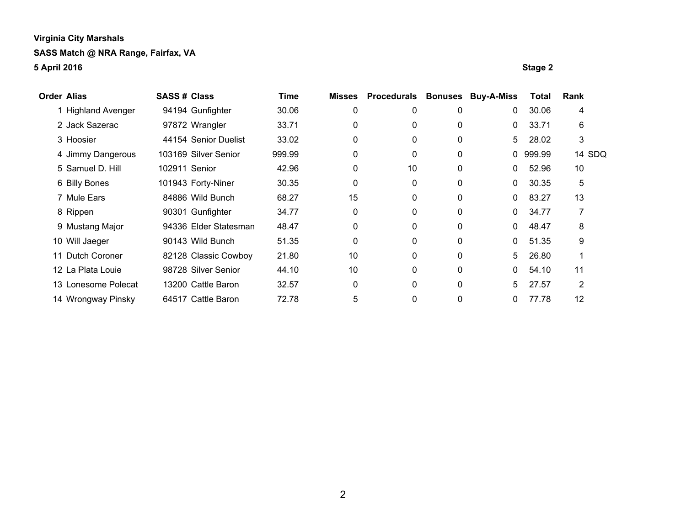| <b>Order Alias</b> |                     | <b>SASS# Class</b> |                       | Time   | <b>Misses</b> | <b>Procedurals</b> |              | <b>Bonuses Buy-A-Miss</b> | <b>Total</b> | Rank   |
|--------------------|---------------------|--------------------|-----------------------|--------|---------------|--------------------|--------------|---------------------------|--------------|--------|
|                    | 1 Highland Avenger  |                    | 94194 Gunfighter      | 30.06  | 0             | 0                  | 0            | 0                         | 30.06        | 4      |
|                    | 2 Jack Sazerac      |                    | 97872 Wrangler        | 33.71  | 0             | 0                  | 0            | 0                         | 33.71        | 6      |
|                    | 3 Hoosier           |                    | 44154 Senior Duelist  | 33.02  | 0             | 0                  | 0            | 5                         | 28.02        | 3      |
|                    | 4 Jimmy Dangerous   |                    | 103169 Silver Senior  | 999.99 | 0             | 0                  | 0            |                           | 0 999.99     | 14 SDQ |
|                    | 5 Samuel D. Hill    | 102911 Senior      |                       | 42.96  | 0             | 10                 | $\mathbf{0}$ | 0                         | 52.96        | 10     |
|                    | 6 Billy Bones       |                    | 101943 Forty-Niner    | 30.35  | 0             | 0                  | 0            | 0                         | 30.35        | 5      |
|                    | 7 Mule Ears         |                    | 84886 Wild Bunch      | 68.27  | 15            | 0                  | 0            | 0                         | 83.27        | 13     |
|                    | 8 Rippen            |                    | 90301 Gunfighter      | 34.77  | 0             | 0                  | 0            | 0                         | 34.77        |        |
|                    | 9 Mustang Major     |                    | 94336 Elder Statesman | 48.47  | 0             | 0                  | $\mathbf{0}$ | $\mathbf{0}$              | 48.47        | 8      |
|                    | 10 Will Jaeger      |                    | 90143 Wild Bunch      | 51.35  | 0             | 0                  | 0            | 0                         | 51.35        | 9      |
|                    | 11 Dutch Coroner    |                    | 82128 Classic Cowboy  | 21.80  | 10            | 0                  | 0            | 5                         | 26.80        |        |
|                    | 12 La Plata Louie   |                    | 98728 Silver Senior   | 44.10  | 10            | 0                  | $\mathbf{0}$ | 0                         | 54.10        | 11     |
|                    | 13 Lonesome Polecat |                    | 13200 Cattle Baron    | 32.57  | 0             | 0                  | 0            | 5                         | 27.57        | 2      |
|                    | 14 Wrongway Pinsky  |                    | 64517 Cattle Baron    | 72.78  | 5             | 0                  | 0            | 0                         | 77.78        | 12     |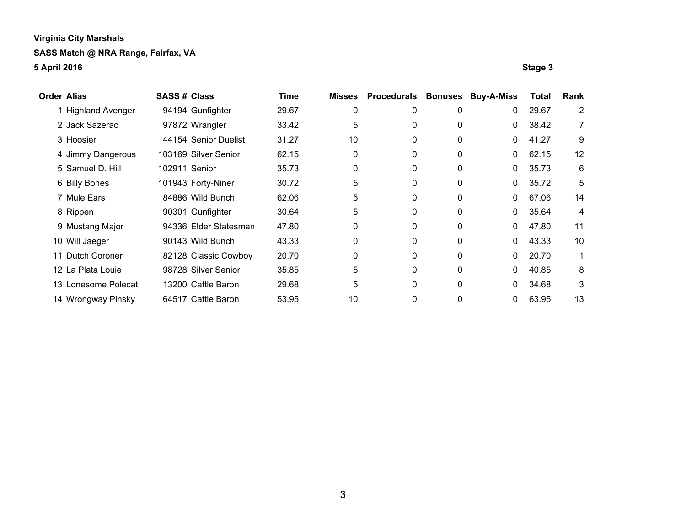| <b>Order Alias</b> |                     | <b>SASS# Class</b> |                       | Time  | <b>Misses</b> | <b>Procedurals</b> |          | <b>Bonuses Buy-A-Miss</b> | <b>Total</b> | Rank           |
|--------------------|---------------------|--------------------|-----------------------|-------|---------------|--------------------|----------|---------------------------|--------------|----------------|
|                    | 1 Highland Avenger  |                    | 94194 Gunfighter      | 29.67 | 0             | 0                  | 0        | $\mathbf 0$               | 29.67        | $\overline{2}$ |
|                    | 2 Jack Sazerac      |                    | 97872 Wrangler        | 33.42 | 5             | 0                  | 0        | $\mathbf{0}$              | 38.42        | 7              |
|                    | 3 Hoosier           |                    | 44154 Senior Duelist  | 31.27 | 10            | 0                  | 0        | $\mathbf{0}$              | 41.27        | 9              |
|                    | 4 Jimmy Dangerous   |                    | 103169 Silver Senior  | 62.15 | 0             | 0                  | 0        | $\mathbf{0}$              | 62.15        | 12             |
|                    | 5 Samuel D. Hill    | 102911 Senior      |                       | 35.73 | 0             | $\Omega$           | 0        | $\mathbf{0}$              | 35.73        | 6              |
|                    | 6 Billy Bones       |                    | 101943 Forty-Niner    | 30.72 | 5             | 0                  | 0        | $\mathbf{0}$              | 35.72        | 5              |
|                    | 7 Mule Ears         |                    | 84886 Wild Bunch      | 62.06 | 5             | 0                  | 0        | 0                         | 67.06        | 14             |
|                    | 8 Rippen            |                    | 90301 Gunfighter      | 30.64 | 5             | 0                  | 0        | $\mathbf{0}$              | 35.64        | 4              |
|                    | 9 Mustang Major     |                    | 94336 Elder Statesman | 47.80 | 0             | 0                  | 0        | $\mathbf{0}$              | 47.80        | 11             |
|                    | 10 Will Jaeger      |                    | 90143 Wild Bunch      | 43.33 | 0             | 0                  | 0        | $\mathbf{0}$              | 43.33        | 10             |
|                    | 11 Dutch Coroner    |                    | 82128 Classic Cowboy  | 20.70 | 0             | 0                  | 0        | $\mathbf{0}$              | 20.70        |                |
|                    | 12 La Plata Louie   |                    | 98728 Silver Senior   | 35.85 | 5             | 0                  | $\Omega$ | $\mathbf{0}$              | 40.85        | 8              |
|                    | 13 Lonesome Polecat |                    | 13200 Cattle Baron    | 29.68 | 5             | 0                  | 0        | $\mathbf{0}$              | 34.68        | 3              |
|                    | 14 Wrongway Pinsky  |                    | 64517 Cattle Baron    | 53.95 | 10            | 0                  | 0        | $\mathbf 0$               | 63.95        | 13             |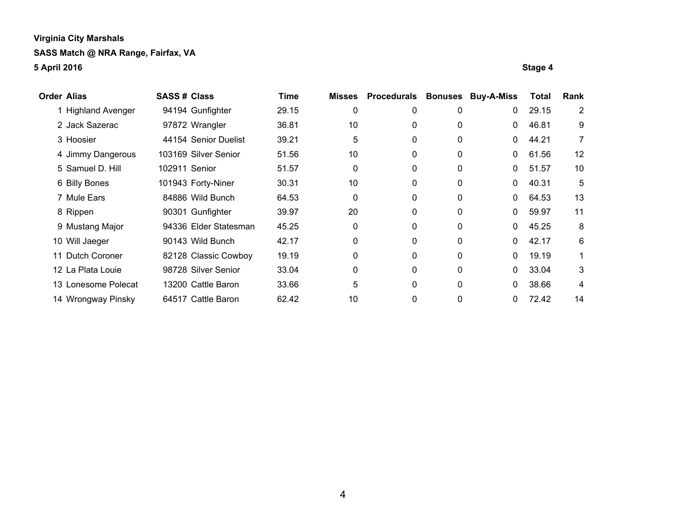| <b>Order Alias</b>  | <b>SASS# Class</b>    | Time  | <b>Misses</b> | <b>Procedurals</b> | <b>Bonuses</b> | <b>Buy-A-Miss</b> | <b>Total</b> | Rank              |
|---------------------|-----------------------|-------|---------------|--------------------|----------------|-------------------|--------------|-------------------|
| 1 Highland Avenger  | 94194 Gunfighter      | 29.15 | 0             | 0                  | 0              | 0                 | 29.15        | 2                 |
| 2 Jack Sazerac      | 97872 Wrangler        | 36.81 | 10            | 0                  | 0              | $\mathbf{0}$      | 46.81        | 9                 |
| 3 Hoosier           | 44154 Senior Duelist  | 39.21 | 5             | $\Omega$           | 0              | $\mathbf{0}$      | 44.21        | 7                 |
| 4 Jimmy Dangerous   | 103169 Silver Senior  | 51.56 | 10            | 0                  | 0              | $\mathbf{0}$      | 61.56        | $12 \overline{ }$ |
| 5 Samuel D. Hill    | 102911 Senior         | 51.57 | $\mathbf 0$   | 0                  | 0              | $\mathbf{0}$      | 51.57        | 10                |
| 6 Billy Bones       | 101943 Forty-Niner    | 30.31 | 10            | 0                  | 0              | 0                 | 40.31        | 5                 |
| 7 Mule Ears         | 84886 Wild Bunch      | 64.53 | $\mathbf 0$   | 0                  | 0              | $\mathbf{0}$      | 64.53        | 13                |
| 8 Rippen            | 90301 Gunfighter      | 39.97 | 20            | 0                  | 0              | 0                 | 59.97        | 11                |
| 9 Mustang Major     | 94336 Elder Statesman | 45.25 | 0             | 0                  | 0              | 0                 | 45.25        | 8                 |
| 10 Will Jaeger      | 90143 Wild Bunch      | 42.17 | $\Omega$      | 0                  | 0              | 0                 | 42.17        | 6                 |
| 11 Dutch Coroner    | 82128 Classic Cowboy  | 19.19 | 0             | 0                  | 0              | 0                 | 19.19        | 1                 |
| 12 La Plata Louie   | 98728 Silver Senior   | 33.04 | 0             | $\mathbf{0}$       | $\Omega$       | 0                 | 33.04        | 3                 |
| 13 Lonesome Polecat | 13200 Cattle Baron    | 33.66 | 5             | 0                  | 0              | 0                 | 38.66        | 4                 |
| 14 Wrongway Pinsky  | 64517 Cattle Baron    | 62.42 | 10            | 0                  | 0              | 0                 | 72.42        | 14                |